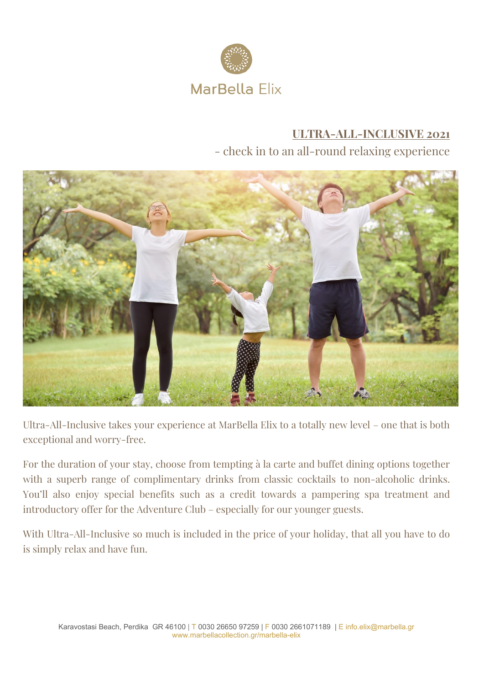

# **ULTRA-ALL-INCLUSIVE 2021** - check in to an all-round relaxing experience



Ultra-All-Inclusive takes your experience at MarBella Elix to a totally new level – one that is both exceptional and worry-free.

For the duration of your stay, choose from tempting à la carte and buffet dining options together with a superb range of complimentary drinks from classic cocktails to non-alcoholic drinks. You'll also enjoy special benefits such as a credit towards a pampering spa treatment and introductory offer for the Adventure Club – especially for our younger guests.

With Ultra-All-Inclusive so much is included in the price of your holiday, that all you have to do is simply relax and have fun.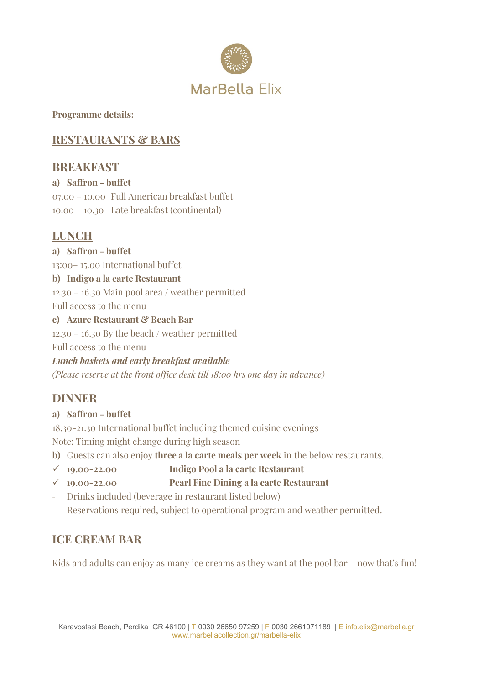

#### **Programme details:**

# **RESTAURANTS & BARS**

## **BREAKFAST**

# **a) Saffron - buffet**

07.00 – 10.00 Full American breakfast buffet 10.00 – 10.30 Late breakfast (continental)

# **LUNCH**

**a) Saffron - buffet** 13:00– 15.00 International buffet **b) Indigo a la carte Restaurant** 12.30 – 16.30 Main pool area / weather permitted Full access to the menu **c) Azure Restaurant & Beach Bar** 12.30 – 16.30 By the beach / weather permitted Full access to the menu

*Lunch baskets and early breakfast available (Please reserve at the front office desk till 18:00 hrs one day in advance)*

## **DINNER**

#### **a) Saffron - buffet**

18.30-21.30 International buffet including themed cuisine evenings

Note: Timing might change during high season

- **b)** Guests can also enjoy **three a la carte meals per week** in the below restaurants.
- ✓ **19.00-22.00 Indigo Pool a la carte Restaurant**
- ✓ **19.00-22.00 Pearl Fine Dining a la carte Restaurant**
- Drinks included (beverage in restaurant listed below)
- Reservations required, subject to operational program and weather permitted.

# **ICE CREAM BAR**

Kids and adults can enjoy as many ice creams as they want at the pool bar – now that's fun!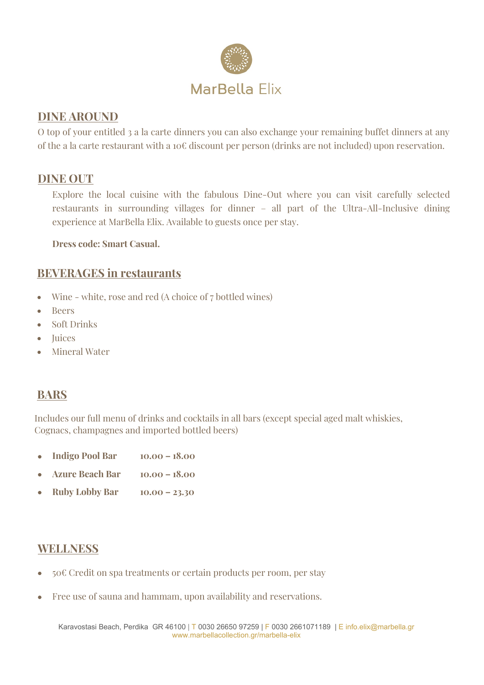

#### **DINE AROUND**

O top of your entitled 3 a la carte dinners you can also exchange your remaining buffet dinners at any of the a la carte restaurant with a 10€ discount per person (drinks are not included) upon reservation.

#### **DINE OUT**

Explore the local cuisine with the fabulous Dine-Out where you can visit carefully selected restaurants in surrounding villages for dinner – all part of the Ultra-All-Inclusive dining experience at MarBella Elix. Available to guests once per stay.

**Dress code: Smart Casual.**

#### **BEVERAGES in restaurants**

- Wine white, rose and red (A choice of 7 bottled wines)
- Beers
- Soft Drinks
- Juices
- Mineral Water

### **BARS**

Includes our full menu of drinks and cocktails in all bars (except special aged malt whiskies, Cognacs, champagnes and imported bottled beers)

- **Indigo Pool Bar 10.00 – 18.00**
- **Azure Beach Bar 10.00 – 18.00**
- **Ruby Lobby Bar 10.00 – 23.30**

### **WELLNESS**

- 50€ Credit on spa treatments or certain products per room, per stay
- Free use of sauna and hammam, upon availability and reservations.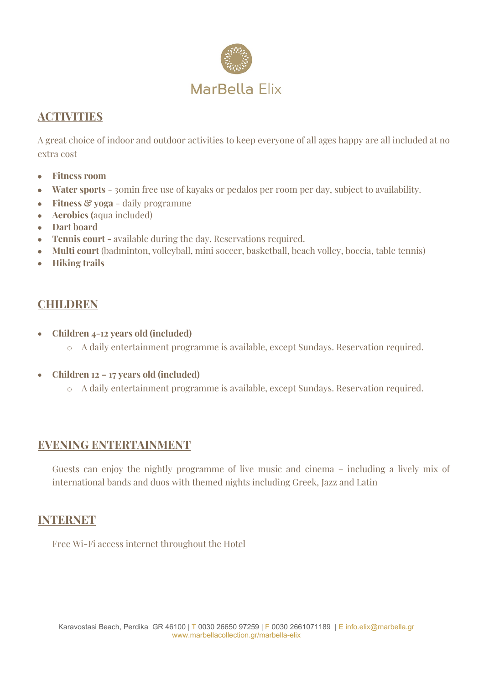

## **ACTIVITIES**

A great choice of indoor and outdoor activities to keep everyone of all ages happy are all included at no extra cost

- **Fitness room**
- **Water sports** 30min free use of kayaks or pedalos per room per day, subject to availability.
- **Fitness & yoga** daily programme
- **Aerobics (**aqua included)
- **Dart board**
- **Tennis court -** available during the day. Reservations required.
- **Multi court** (badminton, volleyball, mini soccer, basketball, beach volley, boccia, table tennis)
- **Hiking trails**

## **CHILDREN**

- **Children 4-12 years old (included)**
	- o A daily entertainment programme is available, except Sundays. Reservation required.
- **Children 12 – 17 years old (included)**
	- o A daily entertainment programme is available, except Sundays. Reservation required.

### **EVENING ENTERTAINMENT**

Guests can enjoy the nightly programme of live music and cinema – including a lively mix of international bands and duos with themed nights including Greek, Jazz and Latin

### **INTERNET**

Free Wi-Fi access internet throughout the Hotel